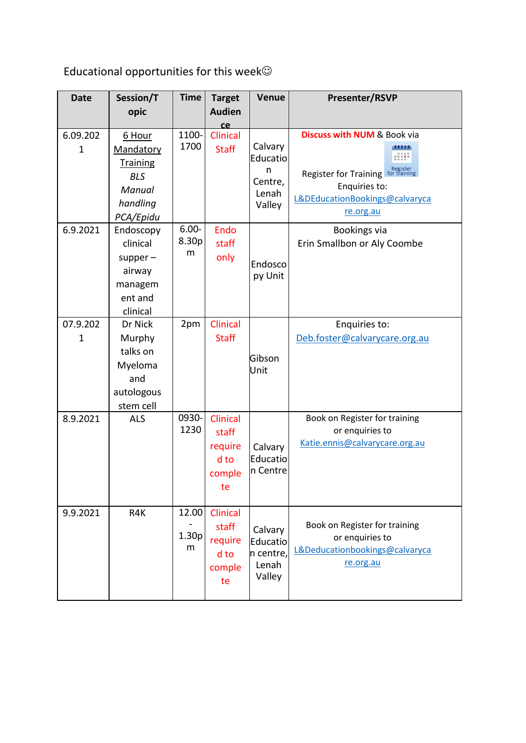Educational opportunities for this week

| <b>Date</b>              | Session/T                                                                               | <b>Time</b>                     | <b>Target</b>                                        | Venue                                                  | <b>Presenter/RSVP</b>                                                                                                                              |
|--------------------------|-----------------------------------------------------------------------------------------|---------------------------------|------------------------------------------------------|--------------------------------------------------------|----------------------------------------------------------------------------------------------------------------------------------------------------|
|                          | opic                                                                                    |                                 | <b>Audien</b>                                        |                                                        |                                                                                                                                                    |
| 6.09.202<br>$\mathbf{1}$ | 6 Hour<br>Mandatory<br><b>Training</b><br><b>BLS</b><br>Manual<br>handling<br>PCA/Epidu | 1100-<br>1700                   | ce<br>Clinical<br><b>Staff</b>                       | Calvary<br>Educatio<br>n<br>Centre,<br>Lenah<br>Valley | <b>Discuss with NUM &amp; Book via</b><br>Register<br><b>Register for Training</b><br>Enquiries to:<br>L&DEducationBookings@calvaryca<br>re.org.au |
| 6.9.2021                 | Endoscopy<br>clinical<br>$supper-$<br>airway<br>managem<br>ent and<br>clinical          | $6.00 -$<br>8.30p<br>m          | Endo<br>staff<br>only                                | Endosco<br>py Unit                                     | Bookings via<br>Erin Smallbon or Aly Coombe                                                                                                        |
| 07.9.202<br>$\mathbf 1$  | Dr Nick<br>Murphy<br>talks on<br>Myeloma<br>and<br>autologous<br>stem cell              | 2pm                             | Clinical<br><b>Staff</b>                             | Gibson<br>Unit                                         | Enquiries to:<br>Deb.foster@calvarycare.org.au                                                                                                     |
| 8.9.2021                 | <b>ALS</b>                                                                              | 0930-<br>1230                   | Clinical<br>staff<br>require<br>d to<br>comple<br>te | Calvary<br>Educatio<br>n Centre                        | Book on Register for training<br>or enquiries to<br>Katie.ennis@calvarycare.org.au                                                                 |
| 9.9.2021                 | R4K                                                                                     | 12.00<br>1.30 <sub>p</sub><br>m | Clinical<br>staff<br>require<br>d to<br>comple<br>te | Calvary<br>Educatio<br>n centre,<br>Lenah<br>Valley    | Book on Register for training<br>or enquiries to<br>L&Deducationbookings@calvaryca<br>re.org.au                                                    |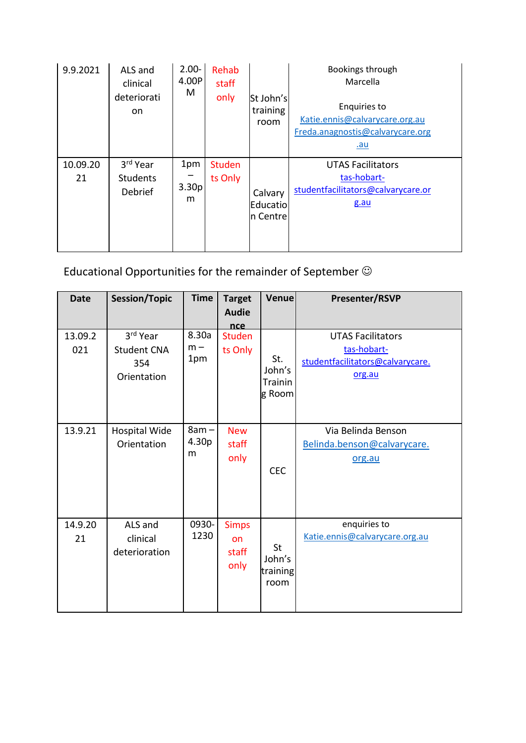| 9.9.2021       | ALS and<br>clinical<br>deteriorati<br>on | $2.00 -$<br>4.00P<br>M        | Rehab<br>staff<br>only   | St John's<br>training<br>room   | Bookings through<br>Marcella<br>Enquiries to<br>Katie.ennis@calvarycare.org.au<br>Freda.anagnostis@calvarycare.org<br><u>.au</u> |
|----------------|------------------------------------------|-------------------------------|--------------------------|---------------------------------|----------------------------------------------------------------------------------------------------------------------------------|
| 10.09.20<br>21 | 3rd Year<br><b>Students</b><br>Debrief   | 1pm<br>3.30 <sub>p</sub><br>m | <b>Studen</b><br>ts Only | Calvary<br>Educatio<br>n Centre | <b>UTAS Facilitators</b><br>tas-hobart-<br>studentfacilitators@calvarycare.or<br>g.au                                            |

Educational Opportunities for the remainder of September

| <b>Date</b>    | <b>Session/Topic</b>                                 | <b>Time</b>                       | <b>Target</b><br><b>Audie</b><br>nce | Venue                                   | Presenter/RSVP                                                                        |
|----------------|------------------------------------------------------|-----------------------------------|--------------------------------------|-----------------------------------------|---------------------------------------------------------------------------------------|
| 13.09.2<br>021 | 3rd Year<br><b>Student CNA</b><br>354<br>Orientation | 8.30a<br>$m -$<br>1pm             | <b>Studen</b><br>ts Only             | St.<br>John's<br>Trainin<br>g Room      | <b>UTAS Facilitators</b><br>tas-hobart-<br>studentfacilitators@calvarycare.<br>org.au |
| 13.9.21        | Hospital Wide<br>Orientation                         | $8am -$<br>4.30 <sub>p</sub><br>m | <b>New</b><br>staff<br>only          | <b>CEC</b>                              | Via Belinda Benson<br>Belinda.benson@calvarycare.<br>org.au                           |
| 14.9.20<br>21  | ALS and<br>clinical<br>deterioration                 | 0930-<br>1230                     | <b>Simps</b><br>on<br>staff<br>only  | <b>St</b><br>John's<br>training<br>room | enquiries to<br>Katie.ennis@calvarycare.org.au                                        |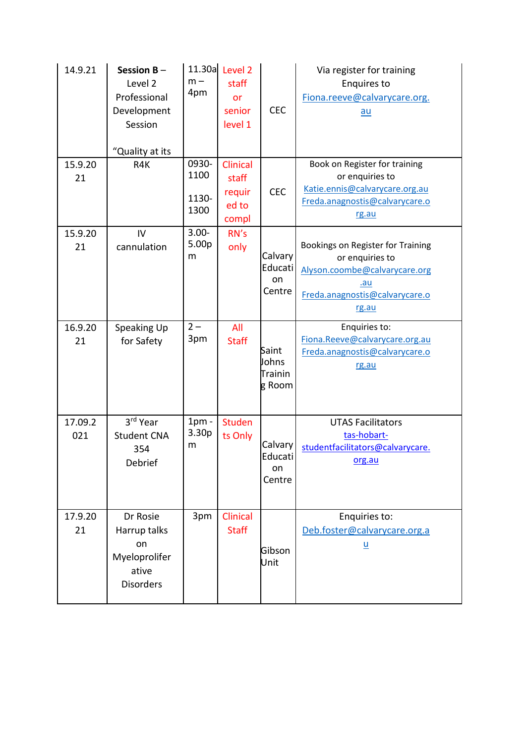| 14.9.21        | Session $B -$<br>Level 2<br>Professional<br>Development<br>Session<br>"Quality at its | $m -$<br>4pm                   | 11.30a Level 2<br>staff<br>or<br>senior<br>level 1   | <b>CEC</b>                                 | Via register for training<br><b>Enquires to</b><br>Fiona.reeve@calvarycare.org.<br>$au$                                                        |
|----------------|---------------------------------------------------------------------------------------|--------------------------------|------------------------------------------------------|--------------------------------------------|------------------------------------------------------------------------------------------------------------------------------------------------|
| 15.9.20<br>21  | R4K                                                                                   | 0930-<br>1100<br>1130-<br>1300 | <b>Clinical</b><br>staff<br>requir<br>ed to<br>compl | <b>CEC</b>                                 | Book on Register for training<br>or enquiries to<br>Katie.ennis@calvarycare.org.au<br>Freda.anagnostis@calvarycare.o<br>rg.au                  |
| 15.9.20<br>21  | IV<br>cannulation                                                                     | $3.00 -$<br>5.00p<br>m         | RN's<br>only                                         | Calvary<br>Educati<br>on<br>Centre         | Bookings on Register for Training<br>or enquiries to<br>Alyson.coombe@calvarycare.org<br><u>.au</u><br>Freda.anagnostis@calvarycare.o<br>rg.au |
| 16.9.20<br>21  | Speaking Up<br>for Safety                                                             | $2 -$<br>3pm                   | All<br><b>Staff</b>                                  | Saint<br>Johns<br><b>Trainin</b><br>g Room | Enquiries to:<br>Fiona.Reeve@calvarycare.org.au<br>Freda.anagnostis@calvarycare.o<br>rg.au                                                     |
| 17.09.2<br>021 | 3rd Year<br><b>Student CNA</b><br>354<br>Debrief                                      | $1pm$ -<br>3.30p<br>m          | <b>Studen</b><br>ts Only                             | Calvary<br>Educati<br>on<br>Centre         | <b>UTAS Facilitators</b><br>tas-hobart-<br>studentfacilitators@calvarycare.<br>org.au                                                          |
| 17.9.20<br>21  | Dr Rosie<br>Harrup talks<br>on<br>Myeloprolifer<br>ative<br><b>Disorders</b>          | 3pm                            | Clinical<br><b>Staff</b>                             | Gibson<br>Unit                             | Enquiries to:<br>Deb.foster@calvarycare.org.a<br>$\underline{\mathsf{u}}$                                                                      |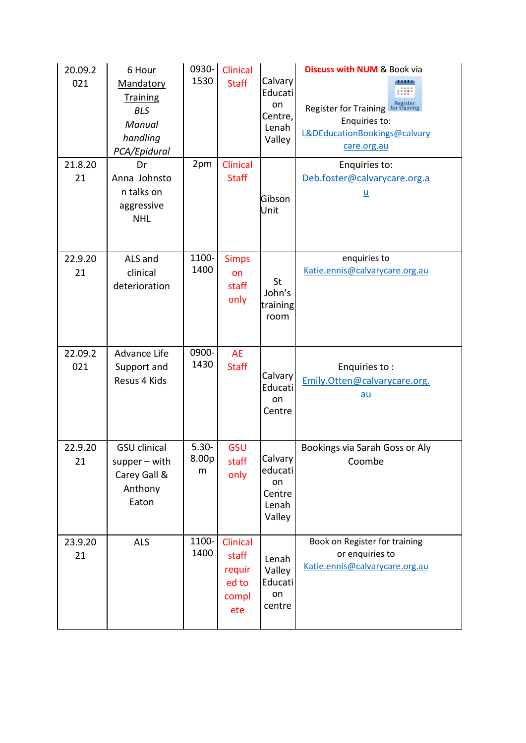| 20.09.2<br>021 | 6 Hour<br>Mandatory<br><b>Training</b><br><b>BLS</b><br>Manual<br>handling<br>PCA/Epidural | 0930-<br>1530          | Clinical<br><b>Staff</b>                             | Calvary<br>Educati<br>on<br>Centre,<br>Lenah<br>Valley | <b>Discuss with NUM &amp; Book via</b><br>11111<br>Register for Training For training<br>Enquiries to:<br>L&DEducationBookings@calvary<br>care.org.au |
|----------------|--------------------------------------------------------------------------------------------|------------------------|------------------------------------------------------|--------------------------------------------------------|-------------------------------------------------------------------------------------------------------------------------------------------------------|
| 21.8.20<br>21  | Dr<br>Anna Johnsto<br>n talks on<br>aggressive<br><b>NHL</b>                               | 2pm                    | <b>Clinical</b><br><b>Staff</b>                      | Gibson<br>Unit                                         | Enquiries to:<br>Deb.foster@calvarycare.org.a<br><u>u</u>                                                                                             |
| 22.9.20<br>21  | ALS and<br>clinical<br>deterioration                                                       | 1100-<br>1400          | <b>Simps</b><br>on<br>staff<br>only                  | St<br>John's<br>training<br>room                       | enquiries to<br>Katie.ennis@calvarycare.org.au                                                                                                        |
| 22.09.2<br>021 | <b>Advance Life</b><br>Support and<br>Resus 4 Kids                                         | 0900-<br>1430          | <b>AE</b><br><b>Staff</b>                            | Calvary<br>Educati<br>on<br>Centre                     | Enquiries to:<br>Emily.Otten@calvarycare.org.<br><u>au</u>                                                                                            |
| 22.9.20<br>21  | <b>GSU</b> clinical<br>$supper - with$<br>Carey Gall &<br>Anthony<br>Eaton                 | $5.30 -$<br>8.00p<br>m | GSU<br>staff<br>only                                 | Calvary<br>educati<br>on<br>Centre<br>Lenah<br>Valley  | Bookings via Sarah Goss or Aly<br>Coombe                                                                                                              |
| 23.9.20<br>21  | <b>ALS</b>                                                                                 | 1100-<br>1400          | Clinical<br>staff<br>requir<br>ed to<br>compl<br>ete | Lenah<br>Valley<br>Educati<br>on<br>centre             | Book on Register for training<br>or enquiries to<br>Katie.ennis@calvarycare.org.au                                                                    |